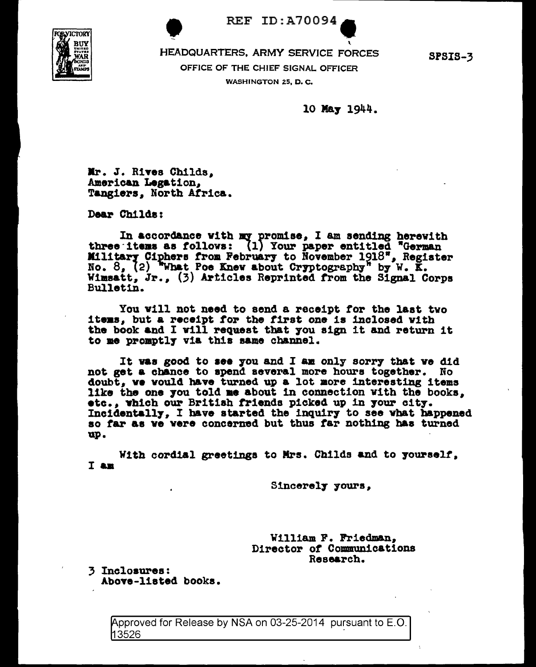**OBJICTORY** 

**REF ID: A70094** 

HEADQUARTERS, ARMY SERVICE FORCES OFFICE OF THE CHIEF SIGNAL OFFICER WASHINGTON 25, D.C.

**SPSIS-3** 

10 May 1944.

Mr. J. Rives Childs. American Legation. Tangiers. North Africa.

Dear Childs:

In accordance with my promise, I am sending herewith<br>three items as follows: (1) Your paper entitled "German Military Ciphers from February to November 1918", Register No. 8, (2) What Poe Knew about Cryptography" by W. K. Wimsatt, Jr., (3) Articles Reprinted from the Signal Corps Bulletin.

You will not need to send a receipt for the last two items. but a receipt for the first one is inclosed with the book and I will request that you sign it and return it to me promptly via this same channel.

It was good to see you and I am only sorry that we did not get a chance to spend several more hours together. No doubt, we would have turned up a lot more interesting items like the one you told me about in connection with the books, etc., which our British friends picked up in your city. Incidentally, I have started the inquiry to see what happened so far as we were concerned but thus far nothing has turned up.

With cordial greetings to Mrs. Childs and to yourself. I am

Sincerely yours,

William F. Friedman, Director of Communications Research.

3 Inclosures: Above-listed books.

> Approved for Release by NSA on 03-25-2014 pursuant to E.O. 13526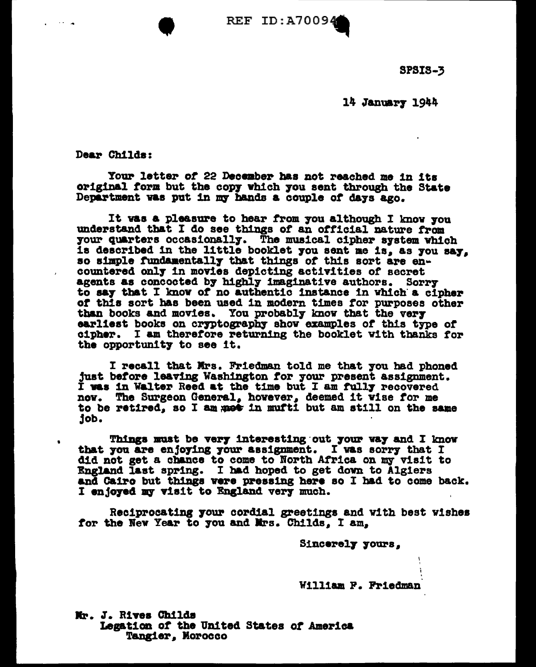REF ID:A70094

SPSIS-3

14 January 1944

Dear Childs:

. -- ...

•

Your letter of 22 December has not reached me in its original form but the copy which you sent through the State Department vas put in my hands a couple of days ago.

It was a pleasure to hear from you although I know you understand that I do see things of an official nature from 7our quarters occasionall7. The musical cipher a7stem which ia described 1n the little booklet 7ou sent ae 1a. as 7ou sa7. so simple fundamentally that things of this sort are encountered onl7 1n movies depicting activities or secret agents as concocted by highly imaginative authors. Sorry to say that I know of no authentic instance in which a cipher *ot* this sort has been used in modern times tor purposes other than books and movies. You probably know that the very earliest books on cryptography show examples of this type of cipher. I am therefore returning the booklet with thanks tor the opportunity to see it.

I recall that Mrs. Friedman told me that you had phoned just before leaving Washington for your present assignment. I was in Walter Reed at the time but I am fully recovered nov. The Surgeon General. however. deemed it vise tor me to be retired, so I am mot in mufti but am still on the same job.

Things must be very interesting out your way and I know that you are enjoying your assignment. I was sorry that I did not get a chance to come to North Africa on my visit to England last spring. I had hoped to get down to Algiers and Cairo but things were pressing here so I had to come back. I enjoyed my visit to England very much.

Reciprocating 7our cordial greetings and with best v1shea for the New Year to you and Mrs. Childs. I am.

Sincerel7 7oura.

William P. Friedman

Mr. J. Rives Childs Legation of the United States of America Tangier, Morocco